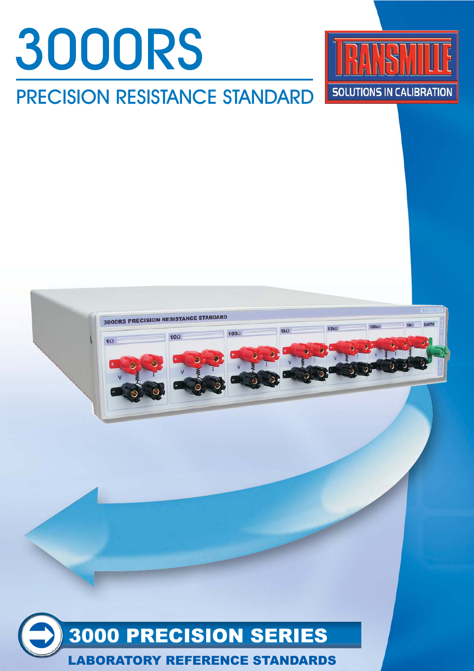





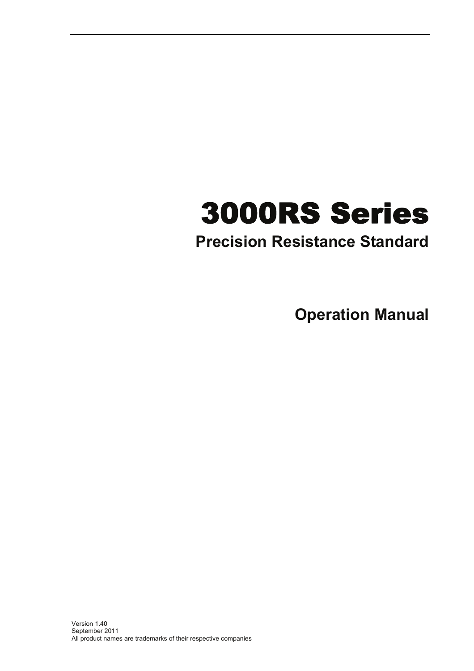# 3000RS Series

# **Precision Resistance Standard**

**Operation Manual**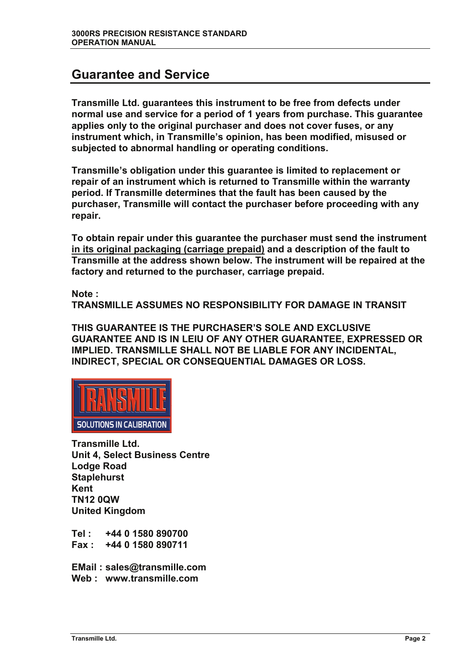#### **Guarantee and Service**

**Transmille Ltd. guarantees this instrument to be free from defects under normal use and service for a period of 1 years from purchase. This guarantee applies only to the original purchaser and does not cover fuses, or any instrument which, in Transmille's opinion, has been modified, misused or subjected to abnormal handling or operating conditions.** 

**Transmille's obligation under this guarantee is limited to replacement or repair of an instrument which is returned to Transmille within the warranty period. If Transmille determines that the fault has been caused by the purchaser, Transmille will contact the purchaser before proceeding with any repair.** 

**To obtain repair under this guarantee the purchaser must send the instrument in its original packaging (carriage prepaid) and a description of the fault to Transmille at the address shown below. The instrument will be repaired at the factory and returned to the purchaser, carriage prepaid.** 

**Note :** 

**TRANSMILLE ASSUMES NO RESPONSIBILITY FOR DAMAGE IN TRANSIT** 

**THIS GUARANTEE IS THE PURCHASER'S SOLE AND EXCLUSIVE GUARANTEE AND IS IN LEIU OF ANY OTHER GUARANTEE, EXPRESSED OR IMPLIED. TRANSMILLE SHALL NOT BE LIABLE FOR ANY INCIDENTAL, INDIRECT, SPECIAL OR CONSEQUENTIAL DAMAGES OR LOSS.** 



**Transmille Ltd. Unit 4, Select Business Centre Lodge Road Staplehurst Kent TN12 0QW United Kingdom** 

**Tel : +44 0 1580 890700 Fax : +44 0 1580 890711** 

**EMail : sales@transmille.com Web : www.transmille.com**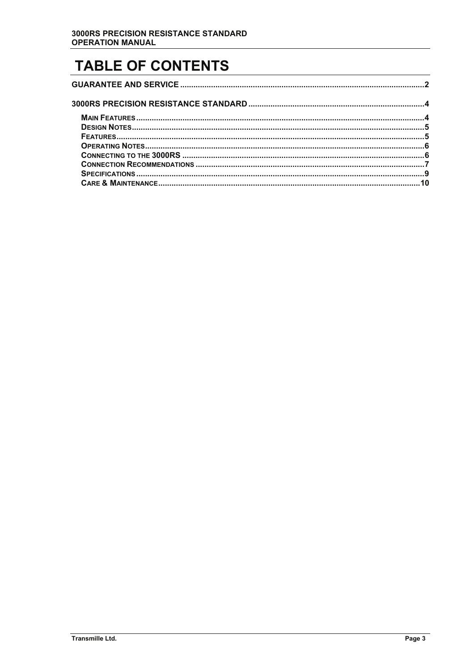# **TABLE OF CONTENTS**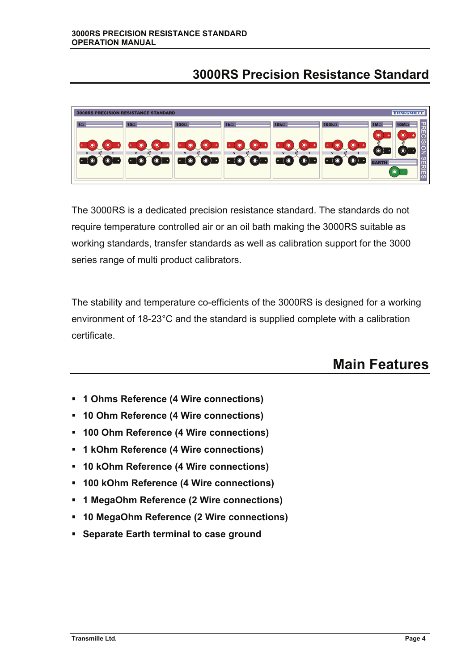#### **3000RS Precision Resistance Standard**

| <b>TRANSMILLE</b><br><b>3000RS PRECISION RESISTANCE STANDARD</b> |                    |                                                         |                                             |                                                          |                                                             |                                                       |
|------------------------------------------------------------------|--------------------|---------------------------------------------------------|---------------------------------------------|----------------------------------------------------------|-------------------------------------------------------------|-------------------------------------------------------|
| 1 <sub>S</sub>                                                   | 10 $\Omega$        | 100 $\Omega$                                            | $1k\Omega$                                  | 10 $k\Omega$                                             | 100 $k\Omega$                                               | 1 OMS<br><b>1MS</b><br><b>REC</b><br>$\circledbullet$ |
| l +                                                              | $\overline{u}$     | $\bullet$<br>$\mathbf{v}$                               | $\bullet$<br>$\bullet$<br>۰<br>$\mathbf{v}$ | $\circledcirc$<br>$\mathbf{\widehat{O}}$<br>$\mathbf{v}$ | $\bullet$                                                   | <b>ISION</b><br>≵<br>$\odot$<br>$\circledcirc$        |
| $\odot$<br>$\circledcirc$                                        | $\odot$<br>$\odot$ | $\bullet$<br>$\bullet$<br>$\overline{\phantom{a}}$<br>- | $\odot$<br>$\circledcirc$<br>. .            | $\odot$<br>$\overline{\mathbf{o}}$<br>٠                  | $\begin{matrix} \bullet \\ \bullet \end{matrix}$<br>$\odot$ | Уń.<br><b>EARTH</b><br>п                              |
|                                                                  |                    |                                                         |                                             |                                                          |                                                             | <b>RIES</b><br>$\bullet$<br>÷                         |

The 3000RS is a dedicated precision resistance standard. The standards do not require temperature controlled air or an oil bath making the 3000RS suitable as working standards, transfer standards as well as calibration support for the 3000 series range of multi product calibrators.

The stability and temperature co-efficients of the 3000RS is designed for a working environment of 18-23°C and the standard is supplied complete with a calibration certificate.

## **Main Features**

- **1 Ohms Reference (4 Wire connections)**
- **10 Ohm Reference (4 Wire connections)**
- **100 Ohm Reference (4 Wire connections)**
- **1 kOhm Reference (4 Wire connections)**
- **10 kOhm Reference (4 Wire connections)**
- **100 kOhm Reference (4 Wire connections)**
- **1 MegaOhm Reference (2 Wire connections)**
- **10 MegaOhm Reference (2 Wire connections)**
- **Separate Earth terminal to case ground**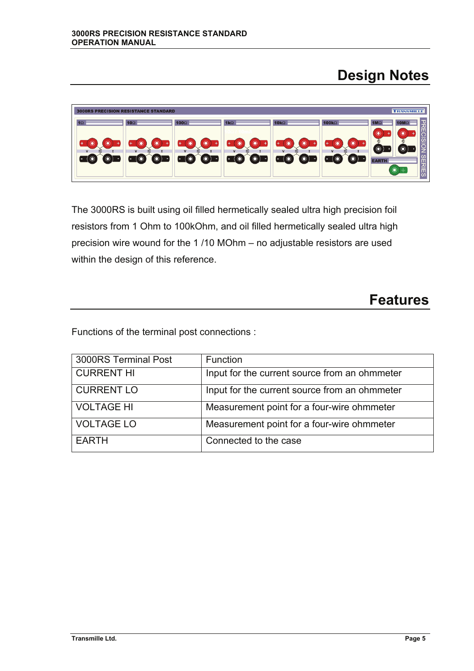## **Design Notes**

| <b>TRANSMILLE</b><br><b>3000RS PRECISION RESISTANCE STANDARD</b> |                    |                                                  |                                              |                                                  |                         |                                                                                          |
|------------------------------------------------------------------|--------------------|--------------------------------------------------|----------------------------------------------|--------------------------------------------------|-------------------------|------------------------------------------------------------------------------------------|
| <b>115</b><br>٠                                                  | $10\Omega$         | 100 <sub>Ω</sub>                                 | $1k\Omega$<br>$\circledcirc$<br>$\bullet$    | $10k\Omega$<br>$\odot$<br>$\widehat{\mathbf{C}}$ | $100k\Omega$<br>$\odot$ | <b>10M</b><br><b>1MS</b><br>ス<br>$\circledbullet$<br>О<br>œ<br>$\overline{\Omega}$       |
| $\bullet$<br>$\odot$<br>$\overline{\phantom{0}}$                 | $\odot$<br>$\odot$ | $\mathbf{v}$<br>$\bullet$<br>$\circledcirc$<br>٠ | $\mathbf{v}$<br>$\odot$<br>$\odot$<br>н<br>œ | $\mathbf{v}$<br>$\bullet$<br>$\bf \odot$         | $\odot$<br>∩<br>╺<br>-  | <u>lo</u><br>$\circledcirc$<br>$\odot$<br><b>EARTH</b><br><b>RES</b><br>$\odot$<br>$\pm$ |

The 3000RS is built using oil filled hermetically sealed ultra high precision foil resistors from 1 Ohm to 100kOhm, and oil filled hermetically sealed ultra high precision wire wound for the 1 /10 MOhm – no adjustable resistors are used within the design of this reference.

## **Features**

Functions of the terminal post connections :

| 3000RS Terminal Post | Function                                      |
|----------------------|-----------------------------------------------|
| <b>CURRENT HI</b>    | Input for the current source from an ohmmeter |
| <b>CURRENT LO</b>    | Input for the current source from an ohmmeter |
| <b>VOLTAGE HI</b>    | Measurement point for a four-wire ohmmeter    |
| <b>VOLTAGE LO</b>    | Measurement point for a four-wire ohmmeter    |
| <b>EARTH</b>         | Connected to the case                         |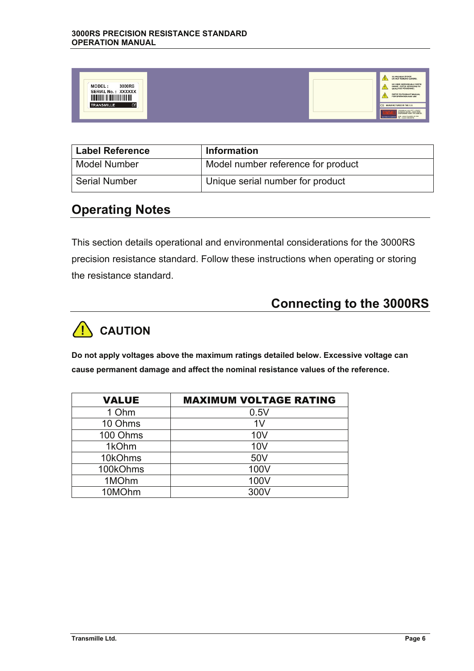| 3000RS<br>MODEL:<br>SERIAL No.: XXXXXX<br><u> 11 MAANDA 11 MAANDA 11 MAANDA 11 MA</u><br><b>TRANSMILLE</b><br>€ |  |  | TO PREVENT SHOCK<br>DO NOT REMOVE COVERS.<br>NO USER SERVICEABLE PARTS<br>INSIDE : REFER SERVICING TO<br><b>QUALIFIED PERSONNEL</b><br>REFER TO PRODUCT MANUAL<br>FOR OPERATION AND USE<br>CE MANUFACTURED IN THE E.U.<br>TORONTALLY, TO UNIT A SELECT BURNING CONTROL LEGION FORM.<br>NER - WAVE TRANSMITTLE COR<br>UTONS FOR BRATIN |
|-----------------------------------------------------------------------------------------------------------------|--|--|---------------------------------------------------------------------------------------------------------------------------------------------------------------------------------------------------------------------------------------------------------------------------------------------------------------------------------------|
|-----------------------------------------------------------------------------------------------------------------|--|--|---------------------------------------------------------------------------------------------------------------------------------------------------------------------------------------------------------------------------------------------------------------------------------------------------------------------------------------|

| <b>Label Reference</b> | <b>Information</b>                 |
|------------------------|------------------------------------|
| Model Number           | Model number reference for product |
| <b>Serial Number</b>   | Unique serial number for product   |

#### **Operating Notes**

This section details operational and environmental considerations for the 3000RS precision resistance standard. Follow these instructions when operating or storing the resistance standard.

## **Connecting to the 3000RS**



**Do not apply voltages above the maximum ratings detailed below. Excessive voltage can cause permanent damage and affect the nominal resistance values of the reference.** 

| <b>VALUE</b> | <b>MAXIMUM VOLTAGE RATING</b> |
|--------------|-------------------------------|
| 1 Ohm        | 0.5V                          |
| 10 Ohms      | 1 <sub>V</sub>                |
| 100 Ohms     | 10V                           |
| 1kOhm        | 10V                           |
| 10kOhms      | 50V                           |
| 100kOhms     | 100V                          |
| 1MOhm        | 100V                          |
| 10MOhm       | 300V                          |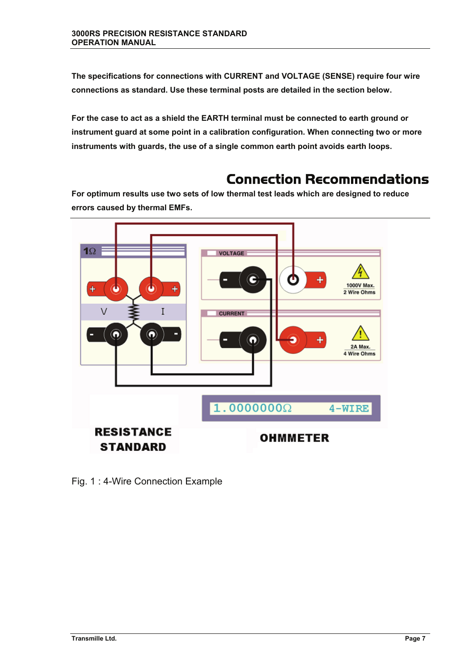**The specifications for connections with CURRENT and VOLTAGE (SENSE) require four wire connections as standard. Use these terminal posts are detailed in the section below.** 

**For the case to act as a shield the EARTH terminal must be connected to earth ground or instrument guard at some point in a calibration configuration. When connecting two or more instruments with guards, the use of a single common earth point avoids earth loops.** 

## Connection Recommendations

**For optimum results use two sets of low thermal test leads which are designed to reduce errors caused by thermal EMFs.** 



Fig. 1 : 4-Wire Connection Example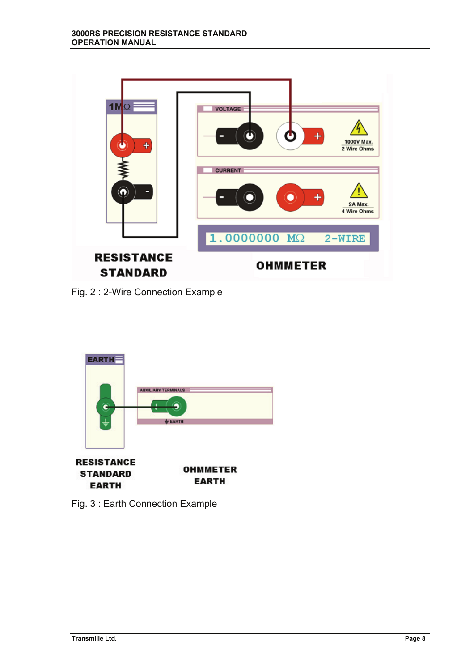

Fig. 2 : 2-Wire Connection Example



Fig. 3 : Earth Connection Example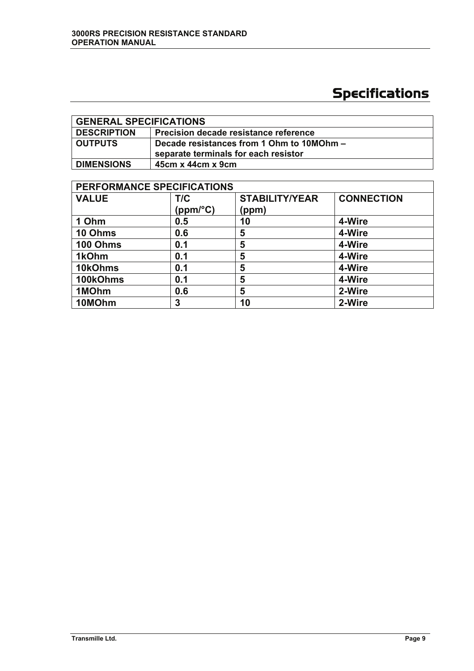# Specifications

| <b>GENERAL SPECIFICATIONS</b> |                                                                                   |  |
|-------------------------------|-----------------------------------------------------------------------------------|--|
| <b>DESCRIPTION</b>            | Precision decade resistance reference                                             |  |
| <b>OUTPUTS</b>                | Decade resistances from 1 Ohm to 10MOhm -<br>separate terminals for each resistor |  |
| <b>DIMENSIONS</b>             | $45cm \times 44cm \times 9cm$                                                     |  |

| PERFORMANCE SPECIFICATIONS |                 |                                |                   |  |
|----------------------------|-----------------|--------------------------------|-------------------|--|
| <b>VALUE</b>               | T/C<br>(ppm/°C) | <b>STABILITY/YEAR</b><br>(ppm) | <b>CONNECTION</b> |  |
| 1 Ohm                      | 0.5             | 10                             | 4-Wire            |  |
| 10 Ohms                    | 0.6             | 5                              | 4-Wire            |  |
| 100 Ohms                   | 0.1             | 5                              | 4-Wire            |  |
| 1kOhm                      | 0.1             | 5                              | 4-Wire            |  |
| 10kOhms                    | 0.1             | 5                              | 4-Wire            |  |
| 100kOhms                   | 0.1             | 5                              | 4-Wire            |  |
| 1MOhm                      | 0.6             | 5                              | 2-Wire            |  |
| 10MOhm                     | 3               | 10                             | 2-Wire            |  |